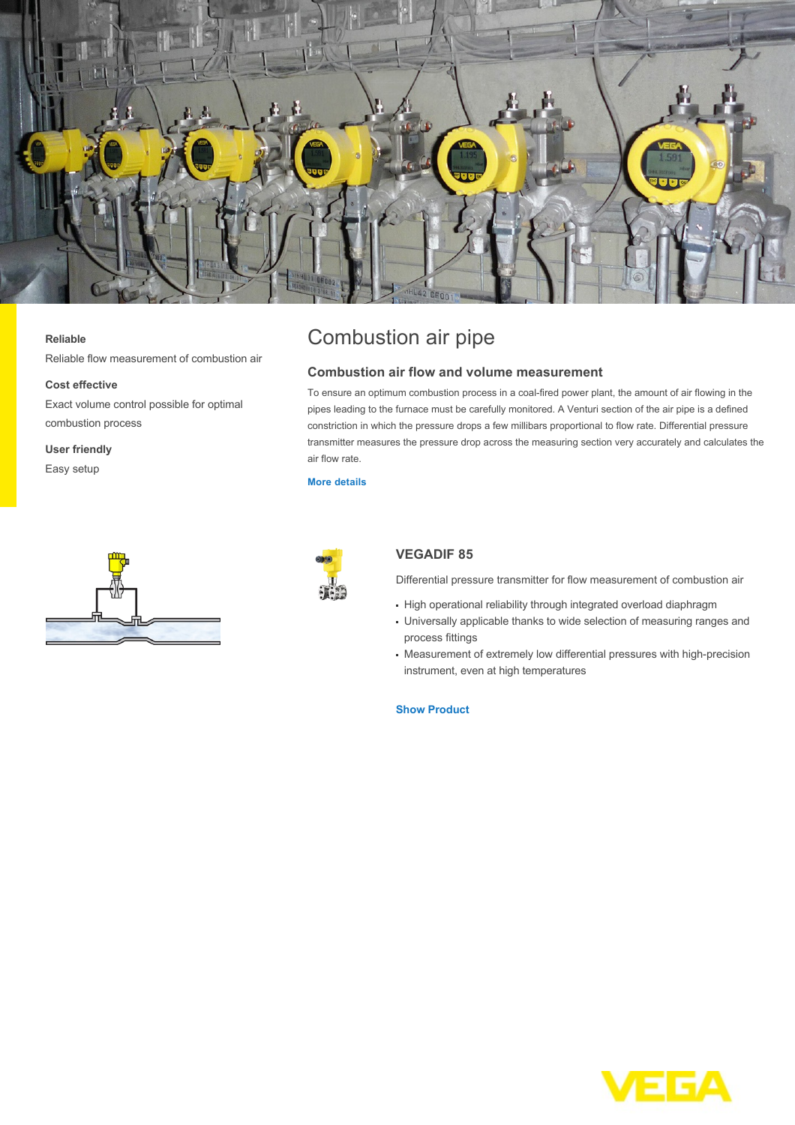

#### **Reliable**

Reliable flow measurement of combustion air

#### **Cost effective**

Exact volume control possible for optimal combustion process

**User friendly**

Easy setup



# Combustion air pipe

## **Combustion air flow and volume measurement**

To ensure an optimum combustion process in a coal-fired power plant, the amount of air flowing in the pipes leading to the furnace must be carefully monitored. A Venturi section of the air pipe is a defined constriction in which the pressure drops a few millibars proportional to flow rate. Differential pressure transmitter measures the pressure drop across the measuring section very accurately and calculates the air flow rate.

## **[More details](http://localhost/en-us/industries/energy/coal-power-plant/combustion-air-pipe)**



# **VEGADIF 85**

Differential pressure transmitter for flow measurement of combustion air

- High operational reliability through integrated overload diaphragm
- Universally applicable thanks to wide selection of measuring ranges and process fittings
- Measurement of extremely low differential pressures with high-precision instrument, even at high temperatures

## **[Show Product](http://localhost/en-us/products/product-catalog/pressure/differential-pressure/vegadif-85)**